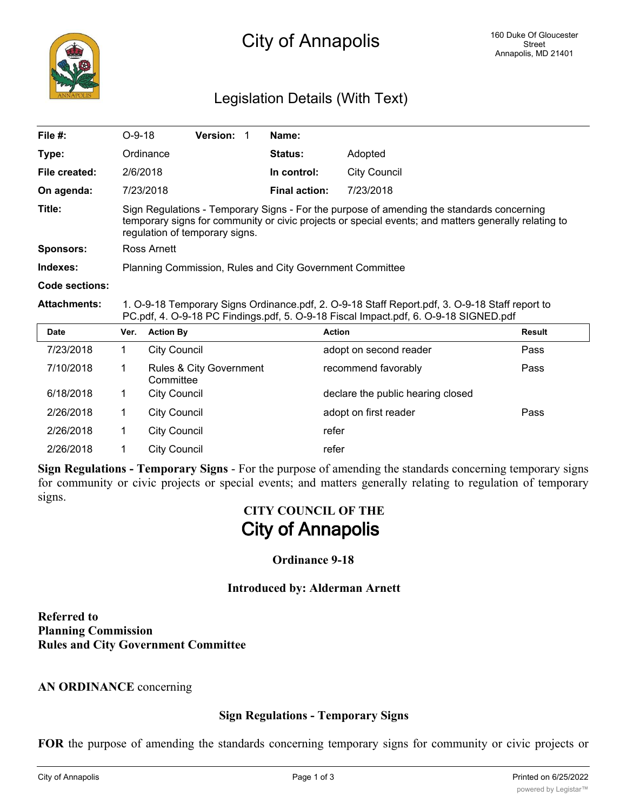# Legislation Details (With Text)

| File #:             | $O-9-18$                                                                                                                                                                                                                            |                     | Version: 1              |  | Name:                |                                   |               |  |
|---------------------|-------------------------------------------------------------------------------------------------------------------------------------------------------------------------------------------------------------------------------------|---------------------|-------------------------|--|----------------------|-----------------------------------|---------------|--|
| Type:               |                                                                                                                                                                                                                                     | Ordinance           |                         |  | <b>Status:</b>       | Adopted                           |               |  |
| File created:       | 2/6/2018                                                                                                                                                                                                                            |                     |                         |  | In control:          | <b>City Council</b>               |               |  |
| On agenda:          | 7/23/2018                                                                                                                                                                                                                           |                     |                         |  | <b>Final action:</b> | 7/23/2018                         |               |  |
| Title:              | Sign Regulations - Temporary Signs - For the purpose of amending the standards concerning<br>temporary signs for community or civic projects or special events; and matters generally relating to<br>regulation of temporary signs. |                     |                         |  |                      |                                   |               |  |
| <b>Sponsors:</b>    | Ross Arnett                                                                                                                                                                                                                         |                     |                         |  |                      |                                   |               |  |
| Indexes:            | Planning Commission, Rules and City Government Committee                                                                                                                                                                            |                     |                         |  |                      |                                   |               |  |
| Code sections:      |                                                                                                                                                                                                                                     |                     |                         |  |                      |                                   |               |  |
| <b>Attachments:</b> | 1. O-9-18 Temporary Signs Ordinance.pdf, 2. O-9-18 Staff Report.pdf, 3. O-9-18 Staff report to<br>PC.pdf, 4. O-9-18 PC Findings.pdf, 5. O-9-18 Fiscal Impact.pdf, 6. O-9-18 SIGNED.pdf                                              |                     |                         |  |                      |                                   |               |  |
| <b>Date</b>         | Ver.                                                                                                                                                                                                                                | <b>Action By</b>    |                         |  |                      | <b>Action</b>                     | <b>Result</b> |  |
| 7/23/2018           | 1                                                                                                                                                                                                                                   | <b>City Council</b> |                         |  |                      | adopt on second reader            | Pass          |  |
| 7/10/2018           | 1                                                                                                                                                                                                                                   | Committee           | Rules & City Government |  |                      | recommend favorably               | Pass          |  |
| 6/18/2018           | 1                                                                                                                                                                                                                                   | <b>City Council</b> |                         |  |                      | declare the public hearing closed |               |  |
| 2/26/2018           | 1                                                                                                                                                                                                                                   | <b>City Council</b> |                         |  |                      | adopt on first reader             | Pass          |  |
| 2/26/2018           | 1                                                                                                                                                                                                                                   | <b>City Council</b> |                         |  |                      | refer                             |               |  |

**Sign Regulations - Temporary Signs** - For the purpose of amending the standards concerning temporary signs for community or civic projects or special events; and matters generally relating to regulation of temporary signs.

# **CITY COUNCIL OF THE City of Annapolis**

#### **Ordinance 9-18**

#### **Introduced by: Alderman Arnett**

**Referred to Planning Commission Rules and City Government Committee**

2/26/2018 1 City Council 2018 1 Perfer

#### **AN ORDINANCE** concerning

#### **Sign Regulations - Temporary Signs**

**FOR** the purpose of amending the standards concerning temporary signs for community or civic projects or

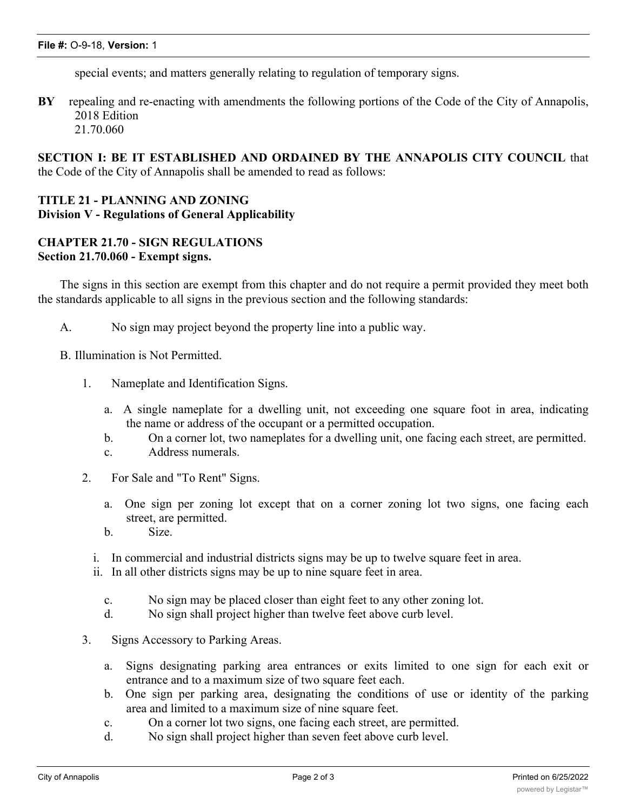special events; and matters generally relating to regulation of temporary signs.

**BY** repealing and re-enacting with amendments the following portions of the Code of the City of Annapolis, 2018 Edition 21.70.060

**SECTION I: BE IT ESTABLISHED AND ORDAINED BY THE ANNAPOLIS CITY COUNCIL** that the Code of the City of Annapolis shall be amended to read as follows:

## **TITLE 21 - PLANNING AND ZONING Division V - Regulations of General Applicability**

### **CHAPTER 21.70 - SIGN REGULATIONS Section 21.70.060 - Exempt signs.**

The signs in this section are exempt from this chapter and do not require a permit provided they meet both the standards applicable to all signs in the previous section and the following standards:

A. No sign may project beyond the property line into a public way.

B. Illumination is Not Permitted.

- 1. Nameplate and Identification Signs.
	- a. A single nameplate for a dwelling unit, not exceeding one square foot in area, indicating the name or address of the occupant or a permitted occupation.
	- b. On a corner lot, two nameplates for a dwelling unit, one facing each street, are permitted.
	- c. Address numerals.
- 2. For Sale and "To Rent" Signs.
	- a. One sign per zoning lot except that on a corner zoning lot two signs, one facing each street, are permitted.
	- b. Size.
	- i. In commercial and industrial districts signs may be up to twelve square feet in area.
	- ii. In all other districts signs may be up to nine square feet in area.
		- c. No sign may be placed closer than eight feet to any other zoning lot.
		- d. No sign shall project higher than twelve feet above curb level.
- 3. Signs Accessory to Parking Areas.
	- a. Signs designating parking area entrances or exits limited to one sign for each exit or entrance and to a maximum size of two square feet each.
	- b. One sign per parking area, designating the conditions of use or identity of the parking area and limited to a maximum size of nine square feet.
	- c. On a corner lot two signs, one facing each street, are permitted.
	- d. No sign shall project higher than seven feet above curb level.